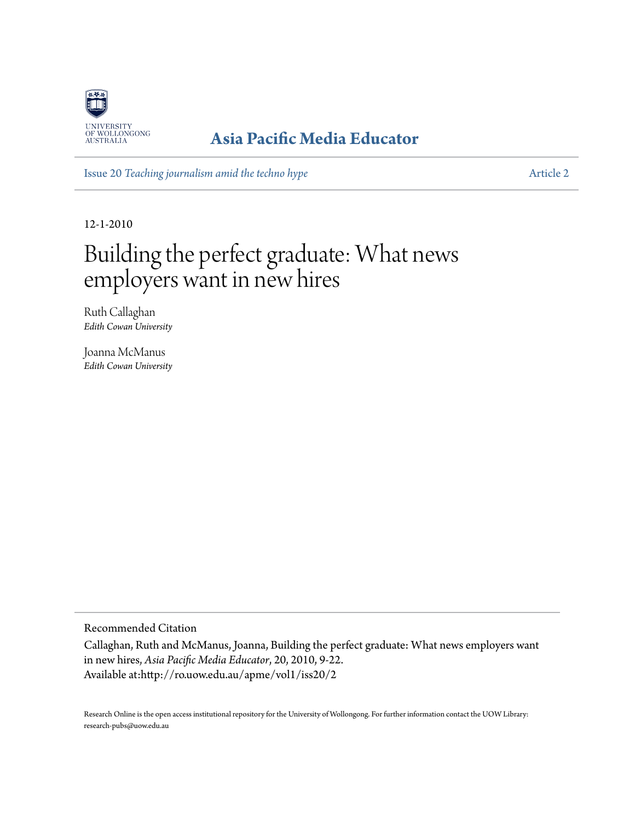

## **[Asia Pacific Media Educator](http://ro.uow.edu.au/apme)**

Issue 20 *[Teaching journalism amid the techno hype](http://ro.uow.edu.au/apme/vol1/iss20)* [Article 2](http://ro.uow.edu.au/apme/vol1/iss20/2)

12-1-2010

# Building the perfect graduate: What news employers want in new hires

Ruth Callaghan *Edith Cowan University*

Joanna McManus *Edith Cowan University*

Recommended Citation

Callaghan, Ruth and McManus, Joanna, Building the perfect graduate: What news employers want in new hires, *Asia Pacific Media Educator*, 20, 2010, 9-22. Available at:http://ro.uow.edu.au/apme/vol1/iss20/2

Research Online is the open access institutional repository for the University of Wollongong. For further information contact the UOW Library: research-pubs@uow.edu.au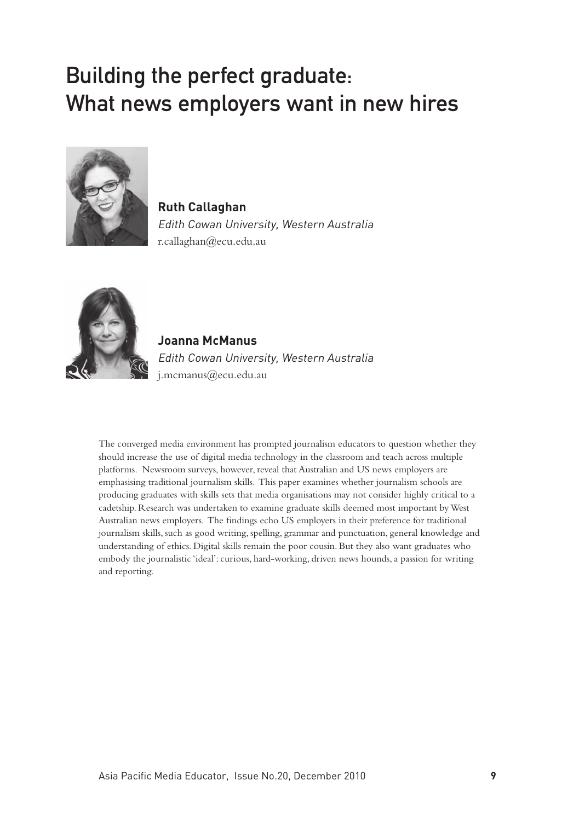## Building the perfect graduate: What news employers want in new hires



**Ruth Callaghan** Edith Cowan University, Western Australia r.callaghan@ecu.edu.au



**Joanna McManus** Edith Cowan University, Western Australia j.mcmanus@ecu.edu.au

The converged media environment has prompted journalism educators to question whether they should increase the use of digital media technology in the classroom and teach across multiple platforms. Newsroom surveys, however, reveal that Australian and US news employers are emphasising traditional journalism skills. This paper examines whether journalism schools are producing graduates with skills sets that media organisations may not consider highly critical to a cadetship. Research was undertaken to examine graduate skills deemed most important by West Australian news employers. The findings echo US employers in their preference for traditional journalism skills, such as good writing, spelling, grammar and punctuation, general knowledge and understanding of ethics. Digital skills remain the poor cousin. But they also want graduates who embody the journalistic 'ideal': curious, hard-working, driven news hounds, a passion for writing and reporting.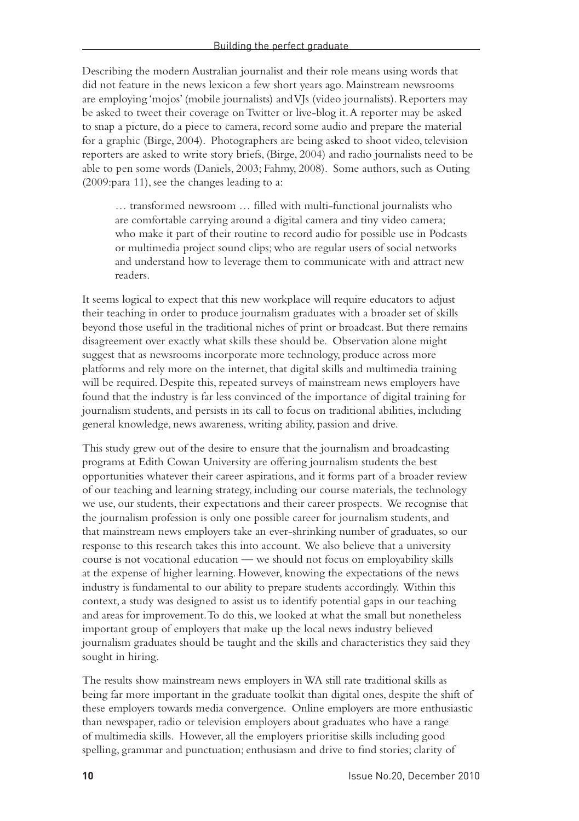Describing the modern Australian journalist and their role means using words that did not feature in the news lexicon a few short years ago. Mainstream newsrooms are employing 'mojos' (mobile journalists) and VJs (video journalists). Reporters may be asked to tweet their coverage on Twitter or live-blog it. A reporter may be asked to snap a picture, do a piece to camera, record some audio and prepare the material for a graphic (Birge, 2004). Photographers are being asked to shoot video, television reporters are asked to write story briefs, (Birge, 2004) and radio journalists need to be able to pen some words (Daniels, 2003; Fahmy, 2008). Some authors, such as Outing (2009:para 11), see the changes leading to a:

… transformed newsroom … filled with multi-functional journalists who are comfortable carrying around a digital camera and tiny video camera; who make it part of their routine to record audio for possible use in Podcasts or multimedia project sound clips; who are regular users of social networks and understand how to leverage them to communicate with and attract new readers.

It seems logical to expect that this new workplace will require educators to adjust their teaching in order to produce journalism graduates with a broader set of skills beyond those useful in the traditional niches of print or broadcast. But there remains disagreement over exactly what skills these should be. Observation alone might suggest that as newsrooms incorporate more technology, produce across more platforms and rely more on the internet, that digital skills and multimedia training will be required. Despite this, repeated surveys of mainstream news employers have found that the industry is far less convinced of the importance of digital training for journalism students, and persists in its call to focus on traditional abilities, including general knowledge, news awareness, writing ability, passion and drive.

This study grew out of the desire to ensure that the journalism and broadcasting programs at Edith Cowan University are offering journalism students the best opportunities whatever their career aspirations, and it forms part of a broader review of our teaching and learning strategy, including our course materials, the technology we use, our students, their expectations and their career prospects. We recognise that the journalism profession is only one possible career for journalism students, and that mainstream news employers take an ever-shrinking number of graduates, so our response to this research takes this into account. We also believe that a university course is not vocational education — we should not focus on employability skills at the expense of higher learning. However, knowing the expectations of the news industry is fundamental to our ability to prepare students accordingly. Within this context, a study was designed to assist us to identify potential gaps in our teaching and areas for improvement. To do this, we looked at what the small but nonetheless important group of employers that make up the local news industry believed journalism graduates should be taught and the skills and characteristics they said they sought in hiring.

The results show mainstream news employers in WA still rate traditional skills as being far more important in the graduate toolkit than digital ones, despite the shift of these employers towards media convergence. Online employers are more enthusiastic than newspaper, radio or television employers about graduates who have a range of multimedia skills. However, all the employers prioritise skills including good spelling, grammar and punctuation; enthusiasm and drive to find stories; clarity of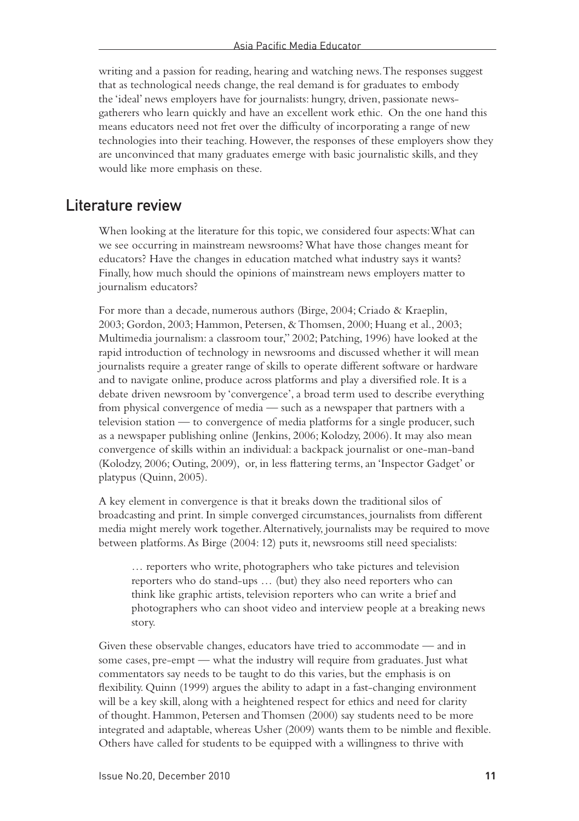writing and a passion for reading, hearing and watching news. The responses suggest that as technological needs change, the real demand is for graduates to embody the 'ideal' news employers have for journalists: hungry, driven, passionate newsgatherers who learn quickly and have an excellent work ethic. On the one hand this means educators need not fret over the difficulty of incorporating a range of new technologies into their teaching. However, the responses of these employers show they are unconvinced that many graduates emerge with basic journalistic skills, and they would like more emphasis on these.

#### Literature review

When looking at the literature for this topic, we considered four aspects: What can we see occurring in mainstream newsrooms? What have those changes meant for educators? Have the changes in education matched what industry says it wants? Finally, how much should the opinions of mainstream news employers matter to journalism educators?

For more than a decade, numerous authors (Birge, 2004; Criado & Kraeplin, 2003; Gordon, 2003; Hammon, Petersen, & Thomsen, 2000; Huang et al., 2003; Multimedia journalism: a classroom tour," 2002; Patching, 1996) have looked at the rapid introduction of technology in newsrooms and discussed whether it will mean journalists require a greater range of skills to operate different software or hardware and to navigate online, produce across platforms and play a diversified role. It is a debate driven newsroom by 'convergence', a broad term used to describe everything from physical convergence of media — such as a newspaper that partners with a television station — to convergence of media platforms for a single producer, such as a newspaper publishing online (Jenkins, 2006; Kolodzy, 2006). It may also mean convergence of skills within an individual: a backpack journalist or one-man-band (Kolodzy, 2006; Outing, 2009), or, in less flattering terms, an 'Inspector Gadget' or platypus (Quinn, 2005).

A key element in convergence is that it breaks down the traditional silos of broadcasting and print. In simple converged circumstances, journalists from different media might merely work together. Alternatively, journalists may be required to move between platforms. As Birge (2004: 12) puts it, newsrooms still need specialists:

… reporters who write, photographers who take pictures and television reporters who do stand-ups … (but) they also need reporters who can think like graphic artists, television reporters who can write a brief and photographers who can shoot video and interview people at a breaking news story.

Given these observable changes, educators have tried to accommodate — and in some cases, pre-empt — what the industry will require from graduates. Just what commentators say needs to be taught to do this varies, but the emphasis is on flexibility. Quinn (1999) argues the ability to adapt in a fast-changing environment will be a key skill, along with a heightened respect for ethics and need for clarity of thought. Hammon, Petersen and Thomsen (2000) say students need to be more integrated and adaptable, whereas Usher (2009) wants them to be nimble and flexible. Others have called for students to be equipped with a willingness to thrive with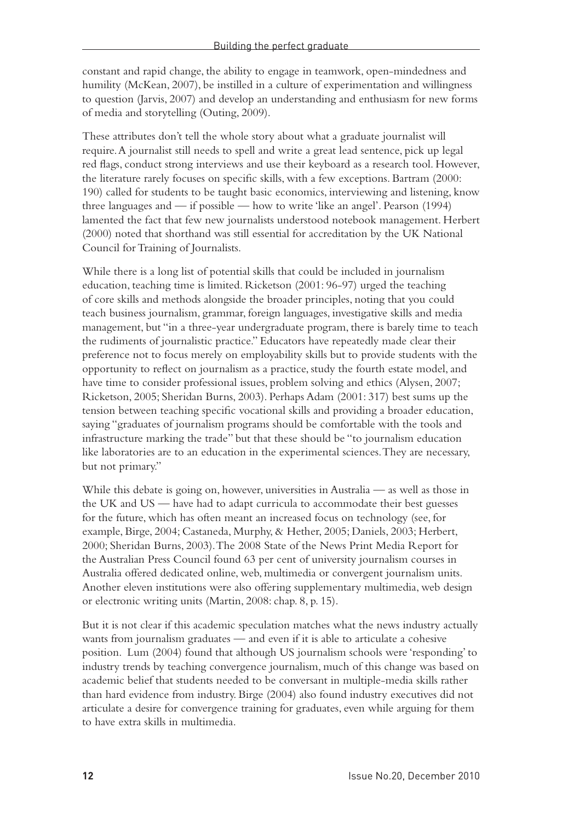constant and rapid change, the ability to engage in teamwork, open-mindedness and humility (McKean, 2007), be instilled in a culture of experimentation and willingness to question (Jarvis, 2007) and develop an understanding and enthusiasm for new forms of media and storytelling (Outing, 2009).

These attributes don't tell the whole story about what a graduate journalist will require. A journalist still needs to spell and write a great lead sentence, pick up legal red flags, conduct strong interviews and use their keyboard as a research tool. However, the literature rarely focuses on specific skills, with a few exceptions. Bartram (2000: 190) called for students to be taught basic economics, interviewing and listening, know three languages and — if possible — how to write 'like an angel'. Pearson (1994) lamented the fact that few new journalists understood notebook management. Herbert (2000) noted that shorthand was still essential for accreditation by the UK National Council for Training of Journalists.

While there is a long list of potential skills that could be included in journalism education, teaching time is limited. Ricketson (2001: 96-97) urged the teaching of core skills and methods alongside the broader principles, noting that you could teach business journalism, grammar, foreign languages, investigative skills and media management, but "in a three-year undergraduate program, there is barely time to teach the rudiments of journalistic practice." Educators have repeatedly made clear their preference not to focus merely on employability skills but to provide students with the opportunity to reflect on journalism as a practice, study the fourth estate model, and have time to consider professional issues, problem solving and ethics (Alysen, 2007; Ricketson, 2005; Sheridan Burns, 2003). Perhaps Adam (2001: 317) best sums up the tension between teaching specific vocational skills and providing a broader education, saying "graduates of journalism programs should be comfortable with the tools and infrastructure marking the trade" but that these should be "to journalism education like laboratories are to an education in the experimental sciences. They are necessary, but not primary."

While this debate is going on, however, universities in Australia — as well as those in the UK and US — have had to adapt curricula to accommodate their best guesses for the future, which has often meant an increased focus on technology (see, for example, Birge, 2004; Castaneda, Murphy, & Hether, 2005; Daniels, 2003; Herbert, 2000; Sheridan Burns, 2003). The 2008 State of the News Print Media Report for the Australian Press Council found 63 per cent of university journalism courses in Australia offered dedicated online, web, multimedia or convergent journalism units. Another eleven institutions were also offering supplementary multimedia, web design or electronic writing units (Martin, 2008: chap. 8, p. 15).

But it is not clear if this academic speculation matches what the news industry actually wants from journalism graduates — and even if it is able to articulate a cohesive position. Lum (2004) found that although US journalism schools were 'responding' to industry trends by teaching convergence journalism, much of this change was based on academic belief that students needed to be conversant in multiple-media skills rather than hard evidence from industry. Birge (2004) also found industry executives did not articulate a desire for convergence training for graduates, even while arguing for them to have extra skills in multimedia.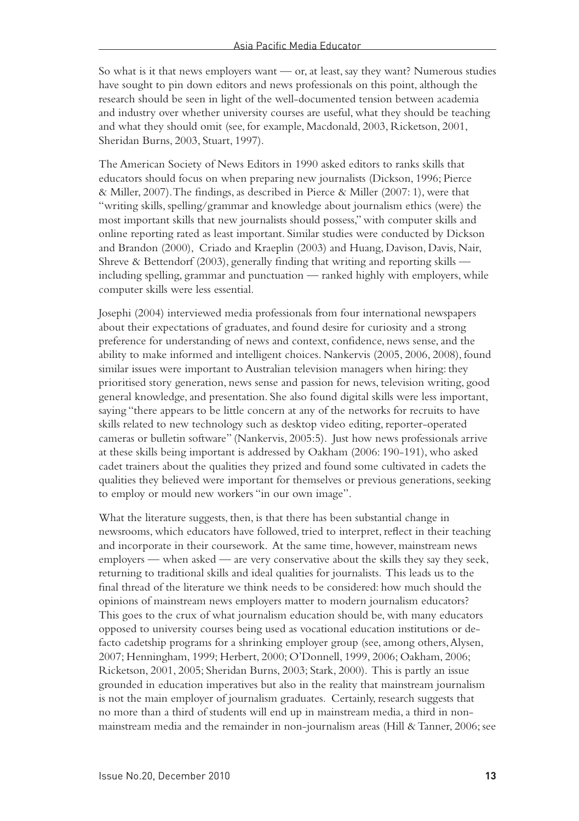So what is it that news employers want — or, at least, say they want? Numerous studies have sought to pin down editors and news professionals on this point, although the research should be seen in light of the well-documented tension between academia and industry over whether university courses are useful, what they should be teaching and what they should omit (see, for example, Macdonald, 2003, Ricketson, 2001, Sheridan Burns, 2003, Stuart, 1997).

The American Society of News Editors in 1990 asked editors to ranks skills that educators should focus on when preparing new journalists (Dickson, 1996; Pierce & Miller, 2007). The findings, as described in Pierce & Miller (2007: 1), were that "writing skills, spelling/grammar and knowledge about journalism ethics (were) the most important skills that new journalists should possess," with computer skills and online reporting rated as least important. Similar studies were conducted by Dickson and Brandon (2000), Criado and Kraeplin (2003) and Huang, Davison, Davis, Nair, Shreve & Bettendorf (2003), generally finding that writing and reporting skills including spelling, grammar and punctuation — ranked highly with employers, while computer skills were less essential.

Josephi (2004) interviewed media professionals from four international newspapers about their expectations of graduates, and found desire for curiosity and a strong preference for understanding of news and context, confidence, news sense, and the ability to make informed and intelligent choices. Nankervis (2005, 2006, 2008), found similar issues were important to Australian television managers when hiring: they prioritised story generation, news sense and passion for news, television writing, good general knowledge, and presentation. She also found digital skills were less important, saying "there appears to be little concern at any of the networks for recruits to have skills related to new technology such as desktop video editing, reporter-operated cameras or bulletin software" (Nankervis, 2005:5). Just how news professionals arrive at these skills being important is addressed by Oakham (2006: 190-191), who asked cadet trainers about the qualities they prized and found some cultivated in cadets the qualities they believed were important for themselves or previous generations, seeking to employ or mould new workers "in our own image".

What the literature suggests, then, is that there has been substantial change in newsrooms, which educators have followed, tried to interpret, reflect in their teaching and incorporate in their coursework. At the same time, however, mainstream news employers — when asked — are very conservative about the skills they say they seek, returning to traditional skills and ideal qualities for journalists. This leads us to the final thread of the literature we think needs to be considered: how much should the opinions of mainstream news employers matter to modern journalism educators? This goes to the crux of what journalism education should be, with many educators opposed to university courses being used as vocational education institutions or defacto cadetship programs for a shrinking employer group (see, among others, Alysen, 2007; Henningham, 1999; Herbert, 2000; O'Donnell, 1999, 2006; Oakham, 2006; Ricketson, 2001, 2005; Sheridan Burns, 2003; Stark, 2000). This is partly an issue grounded in education imperatives but also in the reality that mainstream journalism is not the main employer of journalism graduates. Certainly, research suggests that no more than a third of students will end up in mainstream media, a third in nonmainstream media and the remainder in non-journalism areas (Hill & Tanner, 2006; see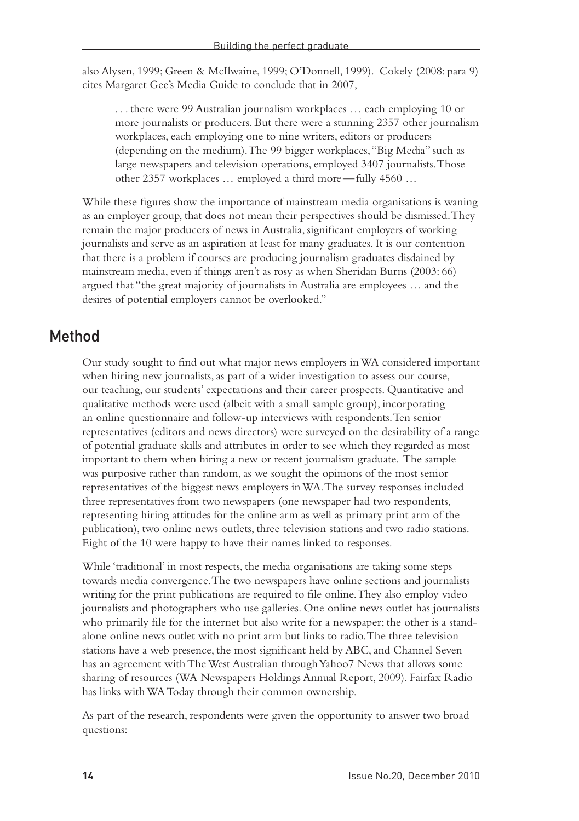also Alysen, 1999; Green & McIlwaine, 1999; O'Donnell, 1999). Cokely (2008: para 9) cites Margaret Gee's Media Guide to conclude that in 2007,

. . . there were 99 Australian journalism workplaces … each employing 10 or more journalists or producers. But there were a stunning 2357 other journalism workplaces, each employing one to nine writers, editors or producers (depending on the medium). The 99 bigger workplaces, "Big Media" such as large newspapers and television operations, employed 3407 journalists. Those other 2357 workplaces … employed a third more—fully 4560 …

While these figures show the importance of mainstream media organisations is waning as an employer group, that does not mean their perspectives should be dismissed. They remain the major producers of news in Australia, significant employers of working journalists and serve as an aspiration at least for many graduates. It is our contention that there is a problem if courses are producing journalism graduates disdained by mainstream media, even if things aren't as rosy as when Sheridan Burns (2003: 66) argued that "the great majority of journalists in Australia are employees … and the desires of potential employers cannot be overlooked."

### Method

Our study sought to find out what major news employers in WA considered important when hiring new journalists, as part of a wider investigation to assess our course, our teaching, our students' expectations and their career prospects. Quantitative and qualitative methods were used (albeit with a small sample group), incorporating an online questionnaire and follow-up interviews with respondents. Ten senior representatives (editors and news directors) were surveyed on the desirability of a range of potential graduate skills and attributes in order to see which they regarded as most important to them when hiring a new or recent journalism graduate. The sample was purposive rather than random, as we sought the opinions of the most senior representatives of the biggest news employers in WA. The survey responses included three representatives from two newspapers (one newspaper had two respondents, representing hiring attitudes for the online arm as well as primary print arm of the publication), two online news outlets, three television stations and two radio stations. Eight of the 10 were happy to have their names linked to responses.

While 'traditional' in most respects, the media organisations are taking some steps towards media convergence. The two newspapers have online sections and journalists writing for the print publications are required to file online. They also employ video journalists and photographers who use galleries. One online news outlet has journalists who primarily file for the internet but also write for a newspaper; the other is a standalone online news outlet with no print arm but links to radio. The three television stations have a web presence, the most significant held by ABC, and Channel Seven has an agreement with The West Australian through Yahoo7 News that allows some sharing of resources (WA Newspapers Holdings Annual Report, 2009). Fairfax Radio has links with WA Today through their common ownership.

As part of the research, respondents were given the opportunity to answer two broad questions: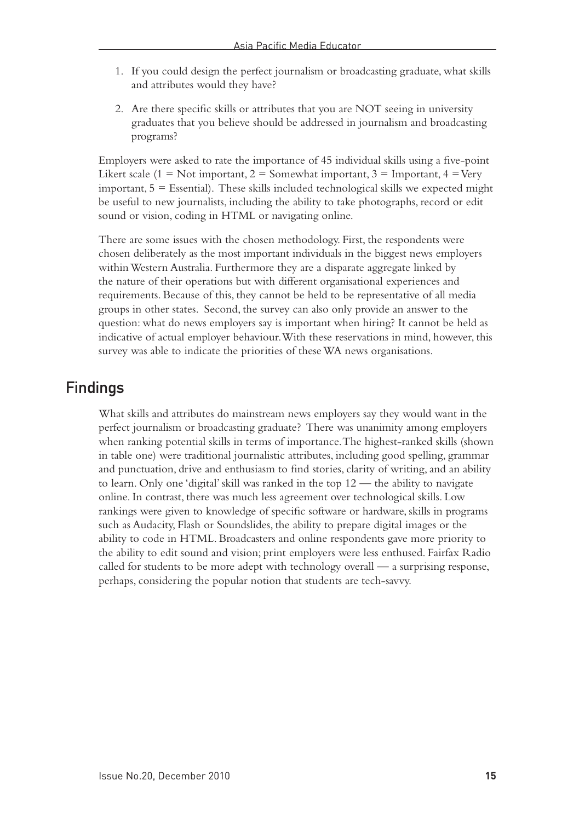- 1. If you could design the perfect journalism or broadcasting graduate, what skills and attributes would they have?
- 2. Are there specific skills or attributes that you are NOT seeing in university graduates that you believe should be addressed in journalism and broadcasting programs?

Employers were asked to rate the importance of 45 individual skills using a five-point Likert scale (1 = Not important, 2 = Somewhat important, 3 = Important, 4 = Very important, 5 = Essential). These skills included technological skills we expected might be useful to new journalists, including the ability to take photographs, record or edit sound or vision, coding in HTML or navigating online.

There are some issues with the chosen methodology. First, the respondents were chosen deliberately as the most important individuals in the biggest news employers within Western Australia. Furthermore they are a disparate aggregate linked by the nature of their operations but with different organisational experiences and requirements. Because of this, they cannot be held to be representative of all media groups in other states. Second, the survey can also only provide an answer to the question: what do news employers say is important when hiring? It cannot be held as indicative of actual employer behaviour. With these reservations in mind, however, this survey was able to indicate the priorities of these WA news organisations.

## Findings

What skills and attributes do mainstream news employers say they would want in the perfect journalism or broadcasting graduate? There was unanimity among employers when ranking potential skills in terms of importance. The highest-ranked skills (shown in table one) were traditional journalistic attributes, including good spelling, grammar and punctuation, drive and enthusiasm to find stories, clarity of writing, and an ability to learn. Only one 'digital' skill was ranked in the top 12 — the ability to navigate online. In contrast, there was much less agreement over technological skills. Low rankings were given to knowledge of specific software or hardware, skills in programs such as Audacity, Flash or Soundslides, the ability to prepare digital images or the ability to code in HTML. Broadcasters and online respondents gave more priority to the ability to edit sound and vision; print employers were less enthused. Fairfax Radio called for students to be more adept with technology overall — a surprising response, perhaps, considering the popular notion that students are tech-savvy.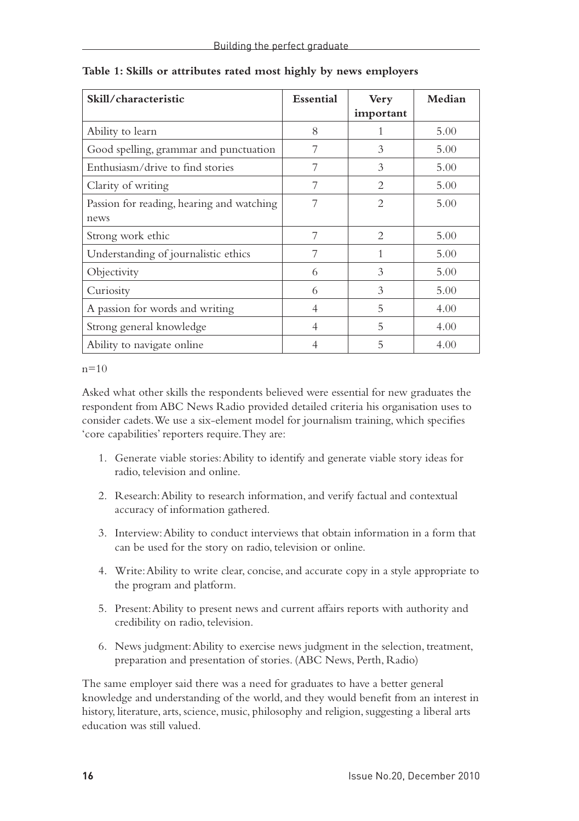| Skill/characteristic                              | <b>Essential</b> | <b>Very</b><br>important    | Median |
|---------------------------------------------------|------------------|-----------------------------|--------|
| Ability to learn                                  | 8                | 1                           | 5.00   |
| Good spelling, grammar and punctuation            | 7                | 3                           | 5.00   |
| Enthusiasm/drive to find stories                  | 7                | 3                           | 5.00   |
| Clarity of writing                                | 7                | 2                           | 5.00   |
| Passion for reading, hearing and watching<br>news | 7                | $\overline{2}$              | 5.00   |
| Strong work ethic                                 | 7                | $\mathcal{D}_{\mathcal{L}}$ | 5.00   |
| Understanding of journalistic ethics              | 7                | 1                           | 5.00   |
| Objectivity                                       | 6                | 3                           | 5.00   |
| Curiosity                                         | 6                | 3                           | 5.00   |
| A passion for words and writing                   | 4                | 5                           | 4.00   |
| Strong general knowledge                          | 4                | 5                           | 4.00   |
| Ability to navigate online.                       |                  | 5                           | 4.00   |

#### **Table 1: Skills or attributes rated most highly by news employers**

 $n=10$ 

Asked what other skills the respondents believed were essential for new graduates the respondent from ABC News Radio provided detailed criteria his organisation uses to consider cadets. We use a six-element model for journalism training, which specifies 'core capabilities' reporters require. They are:

- 1. Generate viable stories: Ability to identify and generate viable story ideas for radio, television and online.
- 2. Research: Ability to research information, and verify factual and contextual accuracy of information gathered.
- 3. Interview: Ability to conduct interviews that obtain information in a form that can be used for the story on radio, television or online.
- 4. Write: Ability to write clear, concise, and accurate copy in a style appropriate to the program and platform.
- 5. Present: Ability to present news and current affairs reports with authority and credibility on radio, television.
- 6. News judgment: Ability to exercise news judgment in the selection, treatment, preparation and presentation of stories. (ABC News, Perth, Radio)

The same employer said there was a need for graduates to have a better general knowledge and understanding of the world, and they would benefit from an interest in history, literature, arts, science, music, philosophy and religion, suggesting a liberal arts education was still valued.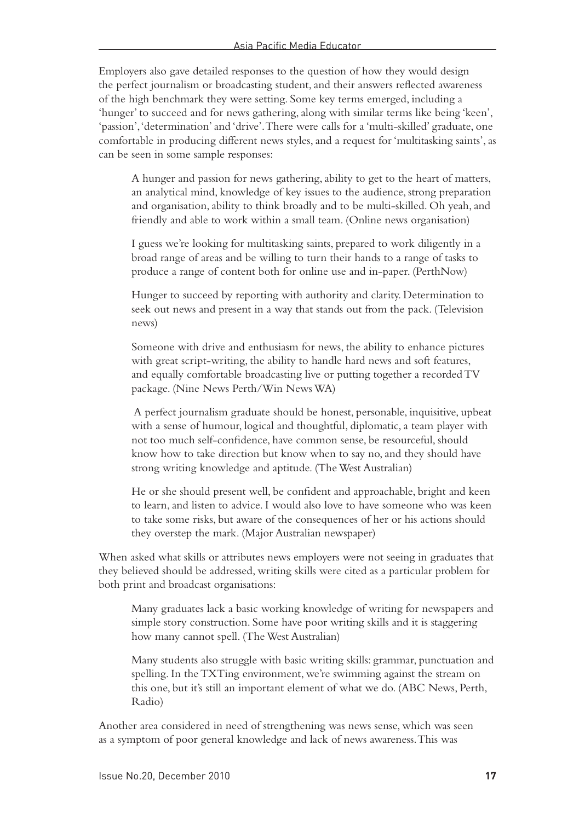Employers also gave detailed responses to the question of how they would design the perfect journalism or broadcasting student, and their answers reflected awareness of the high benchmark they were setting. Some key terms emerged, including a 'hunger' to succeed and for news gathering, along with similar terms like being 'keen', 'passion', 'determination' and 'drive'. There were calls for a 'multi-skilled' graduate, one comfortable in producing different news styles, and a request for 'multitasking saints', as can be seen in some sample responses:

A hunger and passion for news gathering, ability to get to the heart of matters, an analytical mind, knowledge of key issues to the audience, strong preparation and organisation, ability to think broadly and to be multi-skilled. Oh yeah, and friendly and able to work within a small team. (Online news organisation)

I guess we're looking for multitasking saints, prepared to work diligently in a broad range of areas and be willing to turn their hands to a range of tasks to produce a range of content both for online use and in-paper. (PerthNow)

Hunger to succeed by reporting with authority and clarity. Determination to seek out news and present in a way that stands out from the pack. (Television news)

Someone with drive and enthusiasm for news, the ability to enhance pictures with great script-writing, the ability to handle hard news and soft features, and equally comfortable broadcasting live or putting together a recorded TV package. (Nine News Perth/Win News WA)

 A perfect journalism graduate should be honest, personable, inquisitive, upbeat with a sense of humour, logical and thoughtful, diplomatic, a team player with not too much self-confidence, have common sense, be resourceful, should know how to take direction but know when to say no, and they should have strong writing knowledge and aptitude. (The West Australian)

He or she should present well, be confident and approachable, bright and keen to learn, and listen to advice. I would also love to have someone who was keen to take some risks, but aware of the consequences of her or his actions should they overstep the mark. (Major Australian newspaper)

When asked what skills or attributes news employers were not seeing in graduates that they believed should be addressed, writing skills were cited as a particular problem for both print and broadcast organisations:

Many graduates lack a basic working knowledge of writing for newspapers and simple story construction. Some have poor writing skills and it is staggering how many cannot spell. (The West Australian)

Many students also struggle with basic writing skills: grammar, punctuation and spelling. In the TXTing environment, we're swimming against the stream on this one, but it's still an important element of what we do. (ABC News, Perth, Radio)

Another area considered in need of strengthening was news sense, which was seen as a symptom of poor general knowledge and lack of news awareness. This was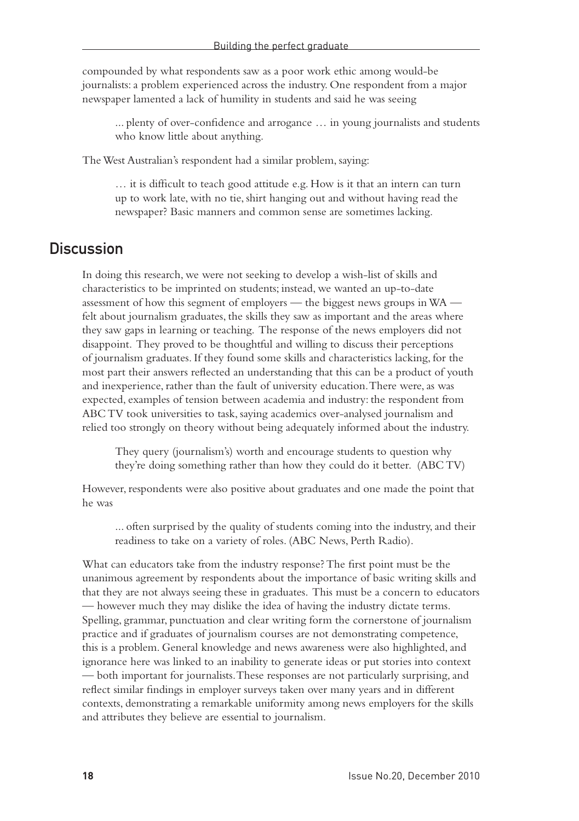compounded by what respondents saw as a poor work ethic among would-be journalists: a problem experienced across the industry. One respondent from a major newspaper lamented a lack of humility in students and said he was seeing

... plenty of over-confidence and arrogance … in young journalists and students who know little about anything.

The West Australian's respondent had a similar problem, saying:

… it is difficult to teach good attitude e.g. How is it that an intern can turn up to work late, with no tie, shirt hanging out and without having read the newspaper? Basic manners and common sense are sometimes lacking.

#### **Discussion**

In doing this research, we were not seeking to develop a wish-list of skills and characteristics to be imprinted on students; instead, we wanted an up-to-date assessment of how this segment of employers — the biggest news groups in WA felt about journalism graduates, the skills they saw as important and the areas where they saw gaps in learning or teaching. The response of the news employers did not disappoint. They proved to be thoughtful and willing to discuss their perceptions of journalism graduates. If they found some skills and characteristics lacking, for the most part their answers reflected an understanding that this can be a product of youth and inexperience, rather than the fault of university education. There were, as was expected, examples of tension between academia and industry: the respondent from ABC TV took universities to task, saying academics over-analysed journalism and relied too strongly on theory without being adequately informed about the industry.

They query (journalism's) worth and encourage students to question why they're doing something rather than how they could do it better. (ABC TV)

However, respondents were also positive about graduates and one made the point that he was

... often surprised by the quality of students coming into the industry, and their readiness to take on a variety of roles. (ABC News, Perth Radio).

What can educators take from the industry response? The first point must be the unanimous agreement by respondents about the importance of basic writing skills and that they are not always seeing these in graduates. This must be a concern to educators — however much they may dislike the idea of having the industry dictate terms. Spelling, grammar, punctuation and clear writing form the cornerstone of journalism practice and if graduates of journalism courses are not demonstrating competence, this is a problem. General knowledge and news awareness were also highlighted, and ignorance here was linked to an inability to generate ideas or put stories into context — both important for journalists. These responses are not particularly surprising, and reflect similar findings in employer surveys taken over many years and in different contexts, demonstrating a remarkable uniformity among news employers for the skills and attributes they believe are essential to journalism.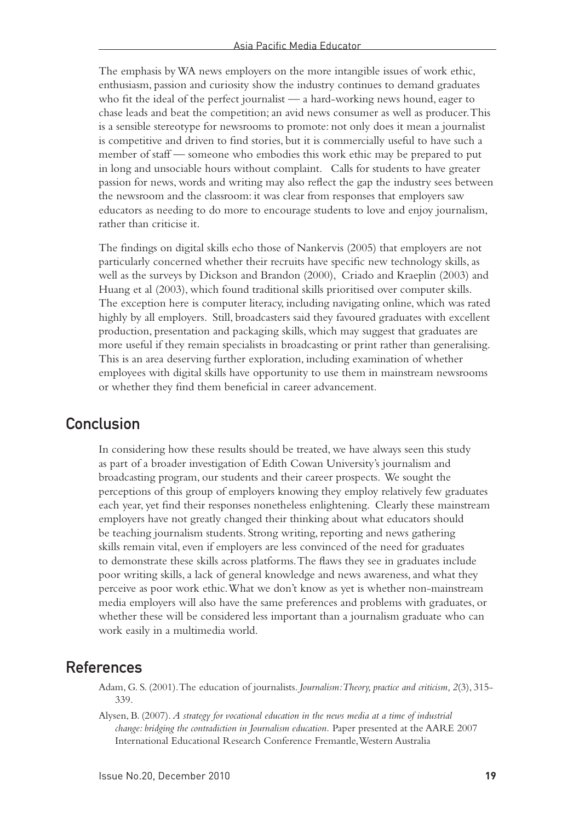The emphasis by WA news employers on the more intangible issues of work ethic, enthusiasm, passion and curiosity show the industry continues to demand graduates who fit the ideal of the perfect journalist — a hard-working news hound, eager to chase leads and beat the competition; an avid news consumer as well as producer. This is a sensible stereotype for newsrooms to promote: not only does it mean a journalist is competitive and driven to find stories, but it is commercially useful to have such a member of staff — someone who embodies this work ethic may be prepared to put in long and unsociable hours without complaint. Calls for students to have greater passion for news, words and writing may also reflect the gap the industry sees between the newsroom and the classroom: it was clear from responses that employers saw educators as needing to do more to encourage students to love and enjoy journalism, rather than criticise it.

The findings on digital skills echo those of Nankervis (2005) that employers are not particularly concerned whether their recruits have specific new technology skills, as well as the surveys by Dickson and Brandon (2000), Criado and Kraeplin (2003) and Huang et al (2003), which found traditional skills prioritised over computer skills. The exception here is computer literacy, including navigating online, which was rated highly by all employers. Still, broadcasters said they favoured graduates with excellent production, presentation and packaging skills, which may suggest that graduates are more useful if they remain specialists in broadcasting or print rather than generalising. This is an area deserving further exploration, including examination of whether employees with digital skills have opportunity to use them in mainstream newsrooms or whether they find them beneficial in career advancement.

#### Conclusion

In considering how these results should be treated, we have always seen this study as part of a broader investigation of Edith Cowan University's journalism and broadcasting program, our students and their career prospects. We sought the perceptions of this group of employers knowing they employ relatively few graduates each year, yet find their responses nonetheless enlightening. Clearly these mainstream employers have not greatly changed their thinking about what educators should be teaching journalism students. Strong writing, reporting and news gathering skills remain vital, even if employers are less convinced of the need for graduates to demonstrate these skills across platforms. The flaws they see in graduates include poor writing skills, a lack of general knowledge and news awareness, and what they perceive as poor work ethic. What we don't know as yet is whether non-mainstream media employers will also have the same preferences and problems with graduates, or whether these will be considered less important than a journalism graduate who can work easily in a multimedia world.

#### References

- Adam, G. S. (2001). The education of journalists. *Journalism: Theory, practice and criticism, 2*(3), 315- 339.
- Alysen, B. (2007). *A strategy for vocational education in the news media at a time of industrial change: bridging the contradiction in Journalism education.* Paper presented at the AARE 2007 International Educational Research Conference Fremantle, Western Australia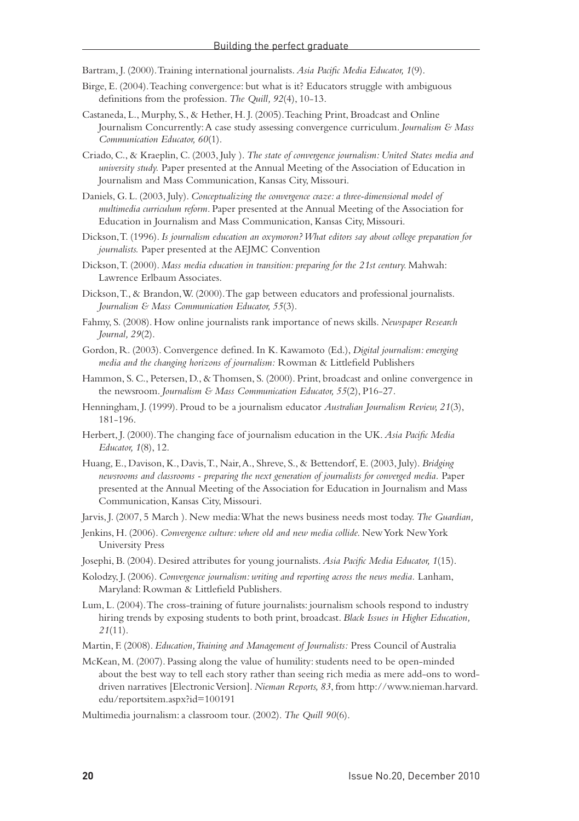Bartram, J. (2000). Training international journalists. *Asia Pacific Media Educator, 1*(9).

- Birge, E. (2004). Teaching convergence: but what is it? Educators struggle with ambiguous definitions from the profession. *The Quill, 92*(4), 10-13.
- Castaneda, L., Murphy, S., & Hether, H. J. (2005). Teaching Print, Broadcast and Online Journalism Concurrently: A case study assessing convergence curriculum. *Journalism & Mass Communication Educator, 60*(1).
- Criado, C., & Kraeplin, C. (2003, July ). *The state of convergence journalism: United States media and university study.* Paper presented at the Annual Meeting of the Association of Education in Journalism and Mass Communication, Kansas City, Missouri.
- Daniels, G. L. (2003, July). *Conceptualizing the convergence craze: a three-dimensional model of multimedia curriculum reform.* Paper presented at the Annual Meeting of the Association for Education in Journalism and Mass Communication, Kansas City, Missouri.
- Dickson, T. (1996). *Is journalism education an oxymoron? What editors say about college preparation for journalists.* Paper presented at the AEJMC Convention
- Dickson, T. (2000). *Mass media education in transition: preparing for the 21st century.* Mahwah: Lawrence Erlbaum Associates.
- Dickson, T., & Brandon, W. (2000). The gap between educators and professional journalists. *Journalism & Mass Communication Educator, 55*(3).
- Fahmy, S. (2008). How online journalists rank importance of news skills. *Newspaper Research Journal, 29*(2).
- Gordon, R. (2003). Convergence defined. In K. Kawamoto (Ed.), *Digital journalism: emerging media and the changing horizons of journalism:* Rowman & Littlefield Publishers
- Hammon, S. C., Petersen, D., & Thomsen, S. (2000). Print, broadcast and online convergence in the newsroom. *Journalism & Mass Communication Educator, 55*(2), P16-27.
- Henningham, J. (1999). Proud to be a journalism educator *Australian Journalism Review, 21*(3), 181-196.
- Herbert, J. (2000). The changing face of journalism education in the UK. *Asia Pacific Media Educator, 1*(8), 12.
- Huang, E., Davison, K., Davis, T., Nair, A., Shreve, S., & Bettendorf, E. (2003, July). *Bridging newsrooms and classrooms - preparing the next generation of journalists for converged media.* Paper presented at the Annual Meeting of the Association for Education in Journalism and Mass Communication, Kansas City, Missouri.
- Jarvis, J. (2007, 5 March ). New media: What the news business needs most today. *The Guardian,*
- Jenkins, H. (2006). *Convergence culture: where old and new media collide.* New York New York University Press
- Josephi, B. (2004). Desired attributes for young journalists. *Asia Pacific Media Educator, 1*(15).
- Kolodzy, J. (2006). *Convergence journalism: writing and reporting across the news media.* Lanham, Maryland: Rowman & Littlefield Publishers.
- Lum, L. (2004). The cross-training of future journalists: journalism schools respond to industry hiring trends by exposing students to both print, broadcast. *Black Issues in Higher Education, 21*(11).
- Martin, F. (2008). *Education, Training and Management of Journalists:* Press Council of Australia
- McKean, M. (2007). Passing along the value of humility: students need to be open-minded about the best way to tell each story rather than seeing rich media as mere add-ons to worddriven narratives [Electronic Version]. *Nieman Reports, 83*, from http://www.nieman.harvard. edu/reportsitem.aspx?id=100191

Multimedia journalism: a classroom tour. (2002). *The Quill 90*(6).